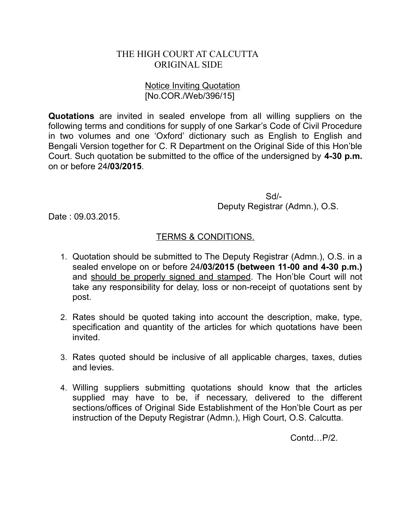## THE HIGH COURT AT CALCUTTA ORIGINAL SIDE

## Notice Inviting Quotation [No.COR./Web/396/15]

**Quotations** are invited in sealed envelope from all willing suppliers on the following terms and conditions for supply of one Sarkar's Code of Civil Procedure in two volumes and one 'Oxford' dictionary such as English to English and Bengali Version together for C. R Department on the Original Side of this Hon'ble Court. Such quotation be submitted to the office of the undersigned by **4-30 p.m.** on or before 24**/03/2015**.

> Sd/- Deputy Registrar (Admn.), O.S.

Date : 09.03.2015.

## TERMS & CONDITIONS.

- 1. Quotation should be submitted to The Deputy Registrar (Admn.), O.S. in a sealed envelope on or before 24**/03/2015 (between 11-00 and 4-30 p.m.)** and should be properly signed and stamped. The Hon'ble Court will not take any responsibility for delay, loss or non-receipt of quotations sent by post.
- 2. Rates should be quoted taking into account the description, make, type, specification and quantity of the articles for which quotations have been invited.
- 3. Rates quoted should be inclusive of all applicable charges, taxes, duties and levies.
- 4. Willing suppliers submitting quotations should know that the articles supplied may have to be, if necessary, delivered to the different sections/offices of Original Side Establishment of the Hon'ble Court as per instruction of the Deputy Registrar (Admn.), High Court, O.S. Calcutta.

Contd…P/2.